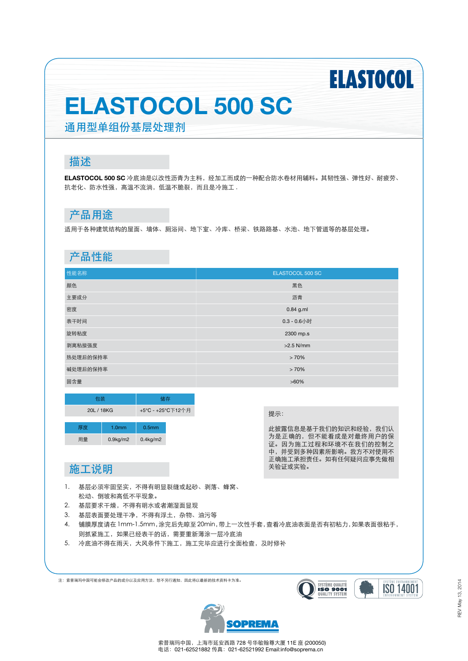# **ELASTOCOL**

## **ELASTOCOL 500 SC**

通用型单组份基层处理剂

### 描述

**ELASTOCOL 500 SC** 冷底油是以改性沥青为主料,经加工而成的一种配合防水卷材用辅料。其韧性强、弹性好、耐疲劳、 抗老化、防水性强,高温不流淌,低温不脆裂,而且是冷施工 .

### 产品用途

适用于各种建筑结构的屋面、墙体、厕浴间、地下室、冷库、桥梁、铁路路基、水池、地下管道等的基层处理。

### 产品性能

| 性能名称     | ELASTOCOL 500 SC |
|----------|------------------|
| 颜色       | 黑色               |
| 主要成分     | 沥青               |
| 密度       | $0.84$ g.ml      |
| 表干时间     | $0.3 - 0.6$ 小时   |
| 旋转粘度     | 2300 mp.s        |
| 剥离粘接强度   | $>2.5$ N/mm      |
| 热处理后的保持率 | >70%             |
| 碱处理后的保持率 | >70%             |
| 固含量      | $>60\%$          |

| 包装         |  | 储存                |                   |  |
|------------|--|-------------------|-------------------|--|
| 20L / 18KG |  | +5°C - +25°C下12个月 |                   |  |
| 厚度         |  | 1.0 <sub>mm</sub> | 0.5 <sub>mm</sub> |  |
| 用量         |  | $0.9$ kg/m $2$    | $0.4$ kg/m $2$    |  |

此披露信息是基于我们的知识和经验,我们认 为是正确的,但不能看成是对最终用户的保 证。因为施工过程和环境不在我们的控制之 中,并受到多种因素所影响。我方不对使用不 正确施工承担责任。如有任何疑问应事先做相 关验证或实验。

### 施工说明

- 1. 基层必须牢固坚实,不得有明显裂缝或起砂、剥落、蜂窝、 松动、倒坡和高低不平现象。
- 2. 基层要求干燥,不得有明水或者潮湿面显现
- 3. 基层表面要处理干净,不得有浮土,杂物、油污等
- 4. 铺膜厚度请在 1mm-1.5mm,涂完后先晾至 20min,带上一次性手套,查看冷底油表面是否有初粘力,如果表面很粘手, 则抓紧施工,如果已经表干的话,需要重新薄涂一层冷底油
- 5. 冷底油不得在雨天,大风条件下施工,施工完毕应进行全面检查,及时修补

注:索普瑞玛中国可能会修改产品的成分以及应用方法,恕不另行通知,因此将以最新的技术资料卡为准。